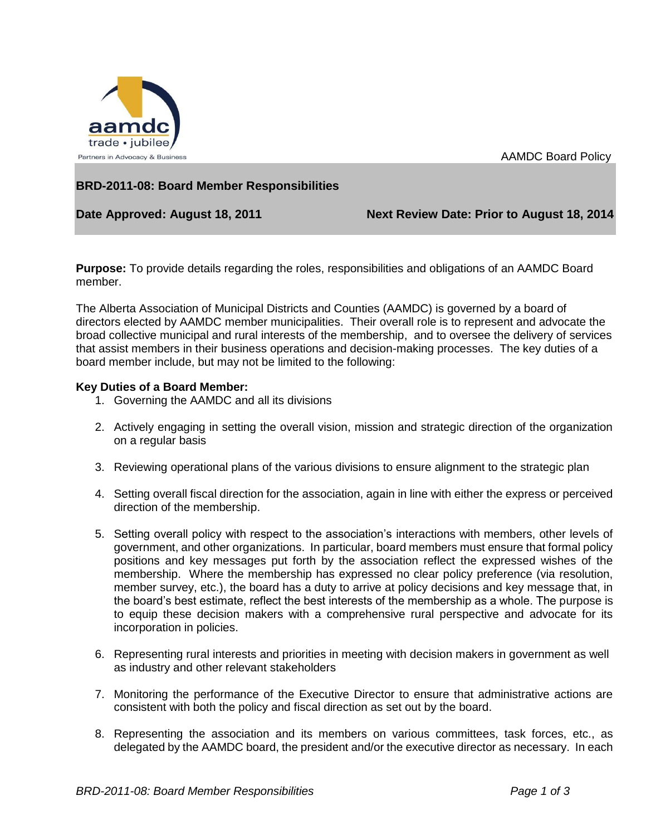

AAMDC Board Policy

## **BRD-2011-08: Board Member Responsibilities**

Date Approved: August 18, 2011 Next Review Date: Prior to August 18, 2014

**Purpose:** To provide details regarding the roles, responsibilities and obligations of an AAMDC Board member.

The Alberta Association of Municipal Districts and Counties (AAMDC) is governed by a board of directors elected by AAMDC member municipalities. Their overall role is to represent and advocate the broad collective municipal and rural interests of the membership, and to oversee the delivery of services that assist members in their business operations and decision-making processes. The key duties of a board member include, but may not be limited to the following:

## **Key Duties of a Board Member:**

- 1. Governing the AAMDC and all its divisions
- 2. Actively engaging in setting the overall vision, mission and strategic direction of the organization on a regular basis
- 3. Reviewing operational plans of the various divisions to ensure alignment to the strategic plan
- 4. Setting overall fiscal direction for the association, again in line with either the express or perceived direction of the membership.
- 5. Setting overall policy with respect to the association's interactions with members, other levels of government, and other organizations. In particular, board members must ensure that formal policy positions and key messages put forth by the association reflect the expressed wishes of the membership. Where the membership has expressed no clear policy preference (via resolution, member survey, etc.), the board has a duty to arrive at policy decisions and key message that, in the board's best estimate, reflect the best interests of the membership as a whole. The purpose is to equip these decision makers with a comprehensive rural perspective and advocate for its incorporation in policies.
- 6. Representing rural interests and priorities in meeting with decision makers in government as well as industry and other relevant stakeholders
- 7. Monitoring the performance of the Executive Director to ensure that administrative actions are consistent with both the policy and fiscal direction as set out by the board.
- 8. Representing the association and its members on various committees, task forces, etc., as delegated by the AAMDC board, the president and/or the executive director as necessary. In each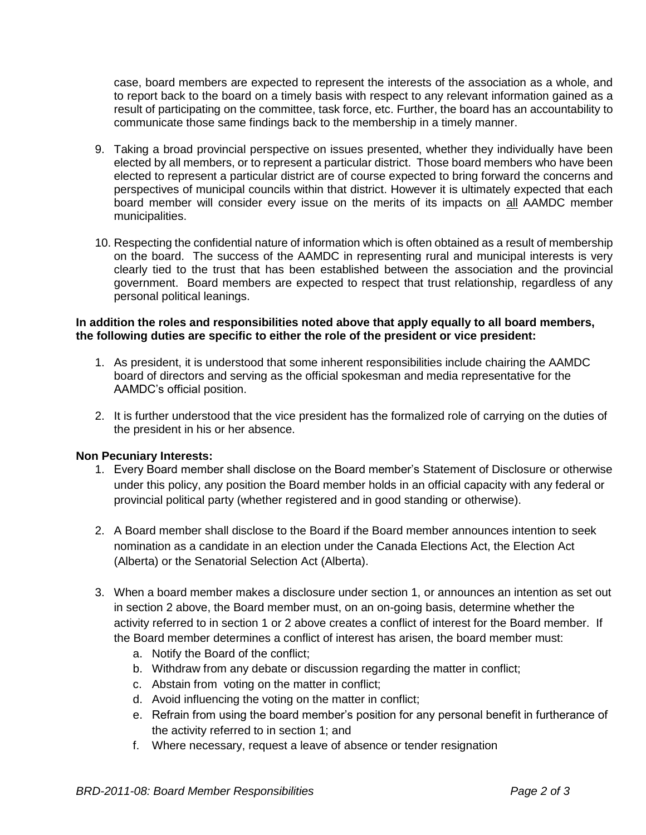case, board members are expected to represent the interests of the association as a whole, and to report back to the board on a timely basis with respect to any relevant information gained as a result of participating on the committee, task force, etc. Further, the board has an accountability to communicate those same findings back to the membership in a timely manner.

- 9. Taking a broad provincial perspective on issues presented, whether they individually have been elected by all members, or to represent a particular district. Those board members who have been elected to represent a particular district are of course expected to bring forward the concerns and perspectives of municipal councils within that district. However it is ultimately expected that each board member will consider every issue on the merits of its impacts on all AAMDC member municipalities.
- 10. Respecting the confidential nature of information which is often obtained as a result of membership on the board. The success of the AAMDC in representing rural and municipal interests is very clearly tied to the trust that has been established between the association and the provincial government. Board members are expected to respect that trust relationship, regardless of any personal political leanings.

## **In addition the roles and responsibilities noted above that apply equally to all board members, the following duties are specific to either the role of the president or vice president:**

- 1. As president, it is understood that some inherent responsibilities include chairing the AAMDC board of directors and serving as the official spokesman and media representative for the AAMDC's official position.
- 2. It is further understood that the vice president has the formalized role of carrying on the duties of the president in his or her absence.

## **Non Pecuniary Interests:**

- 1. Every Board member shall disclose on the Board member's Statement of Disclosure or otherwise under this policy, any position the Board member holds in an official capacity with any federal or provincial political party (whether registered and in good standing or otherwise).
- 2. A Board member shall disclose to the Board if the Board member announces intention to seek nomination as a candidate in an election under the Canada Elections Act, the Election Act (Alberta) or the Senatorial Selection Act (Alberta).
- 3. When a board member makes a disclosure under section 1, or announces an intention as set out in section 2 above, the Board member must, on an on-going basis, determine whether the activity referred to in section 1 or 2 above creates a conflict of interest for the Board member. If the Board member determines a conflict of interest has arisen, the board member must:
	- a. Notify the Board of the conflict;
	- b. Withdraw from any debate or discussion regarding the matter in conflict;
	- c. Abstain from voting on the matter in conflict;
	- d. Avoid influencing the voting on the matter in conflict;
	- e. Refrain from using the board member's position for any personal benefit in furtherance of the activity referred to in section 1; and
	- f. Where necessary, request a leave of absence or tender resignation